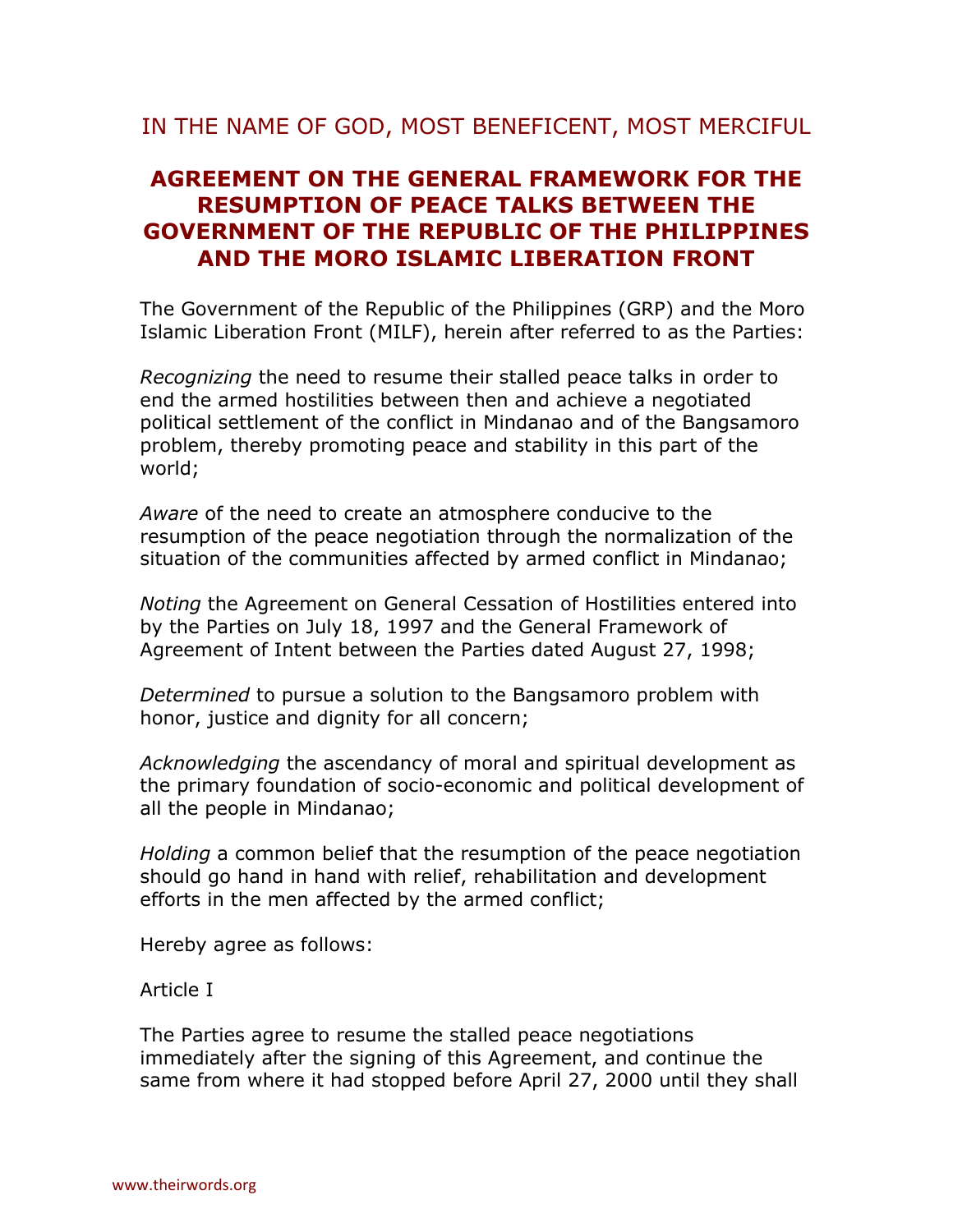# **AGREEMENT ON THE GENERAL FRAMEWORK FOR THE RESUMPTION OF PEACE TALKS BETWEEN THE GOVERNMENT OF THE REPUBLIC OF THE PHILIPPINES AND THE MORO ISLAMIC LIBERATION FRONT**

The Government of the Republic of the Philippines (GRP) and the Moro Islamic Liberation Front (MILF), herein after referred to as the Parties:

*Recognizing* the need to resume their stalled peace talks in order to end the armed hostilities between then and achieve a negotiated political settlement of the conflict in Mindanao and of the Bangsamoro problem, thereby promoting peace and stability in this part of the world;

*Aware* of the need to create an atmosphere conducive to the resumption of the peace negotiation through the normalization of the situation of the communities affected by armed conflict in Mindanao;

*Noting* the Agreement on General Cessation of Hostilities entered into by the Parties on July 18, 1997 and the General Framework of Agreement of Intent between the Parties dated August 27, 1998;

*Determined* to pursue a solution to the Bangsamoro problem with honor, justice and dignity for all concern;

*Acknowledging* the ascendancy of moral and spiritual development as the primary foundation of socio-economic and political development of all the people in Mindanao;

*Holding* a common belief that the resumption of the peace negotiation should go hand in hand with relief, rehabilitation and development efforts in the men affected by the armed conflict;

Hereby agree as follows:

Article I

The Parties agree to resume the stalled peace negotiations immediately after the signing of this Agreement, and continue the same from where it had stopped before April 27, 2000 until they shall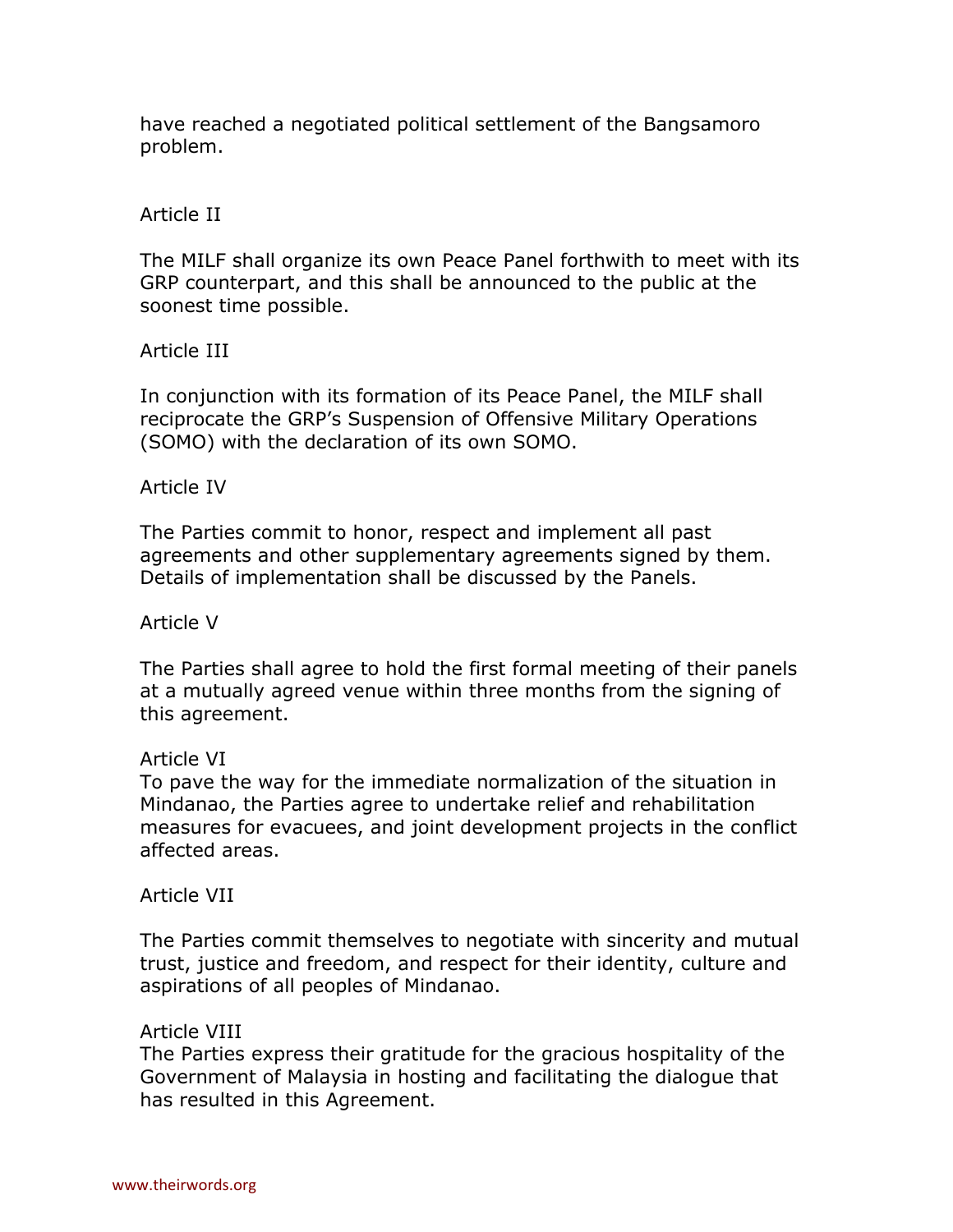have reached a negotiated political settlement of the Bangsamoro problem.

## Article II

The MILF shall organize its own Peace Panel forthwith to meet with its GRP counterpart, and this shall be announced to the public at the soonest time possible.

Article III

In conjunction with its formation of its Peace Panel, the MILF shall reciprocate the GRP's Suspension of Offensive Military Operations (SOMO) with the declaration of its own SOMO.

### Article IV

The Parties commit to honor, respect and implement all past agreements and other supplementary agreements signed by them. Details of implementation shall be discussed by the Panels.

#### Article V

The Parties shall agree to hold the first formal meeting of their panels at a mutually agreed venue within three months from the signing of this agreement.

#### Article VI

To pave the way for the immediate normalization of the situation in Mindanao, the Parties agree to undertake relief and rehabilitation measures for evacuees, and joint development projects in the conflict affected areas.

#### Article VII

The Parties commit themselves to negotiate with sincerity and mutual trust, justice and freedom, and respect for their identity, culture and aspirations of all peoples of Mindanao.

#### Article VIII

The Parties express their gratitude for the gracious hospitality of the Government of Malaysia in hosting and facilitating the dialogue that has resulted in this Agreement.